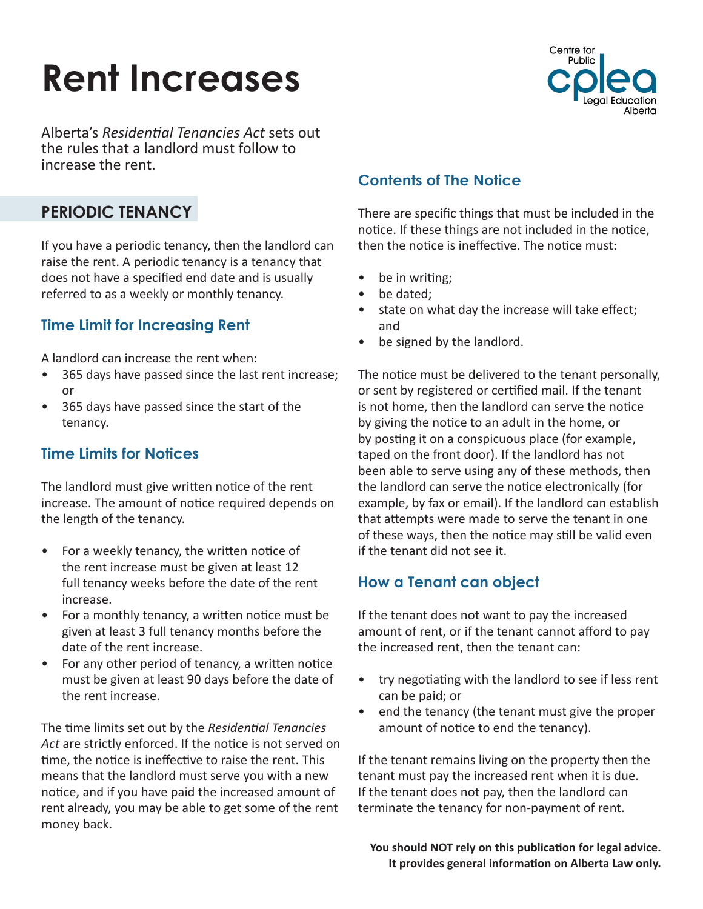# **Rent Increases**



Alberta's *Residential Tenancies Act* sets out the rules that a landlord must follow to increase the rent.

# **PERIODIC TENANCY**

If you have a periodic tenancy, then the landlord can raise the rent. A periodic tenancy is a tenancy that does not have a specified end date and is usually referred to as a weekly or monthly tenancy.

## **Time Limit for Increasing Rent**

A landlord can increase the rent when:

- 365 days have passed since the last rent increase; or
- 365 days have passed since the start of the tenancy.

## **Time Limits for Notices**

The landlord must give written notice of the rent increase. The amount of notice required depends on the length of the tenancy.

- For a weekly tenancy, the written notice of the rent increase must be given at least 12 full tenancy weeks before the date of the rent increase.
- For a monthly tenancy, a written notice must be given at least 3 full tenancy months before the date of the rent increase.
- For any other period of tenancy, a written notice must be given at least 90 days before the date of the rent increase.

The time limits set out by the *Residential Tenancies Act* are strictly enforced. If the notice is not served on time, the notice is ineffective to raise the rent. This means that the landlord must serve you with a new notice, and if you have paid the increased amount of rent already, you may be able to get some of the rent money back.

# **Contents of The Notice**

There are specific things that must be included in the notice. If these things are not included in the notice, then the notice is ineffective. The notice must:

- be in writing;
- be dated;
- state on what day the increase will take effect; and
- be signed by the landlord.

The notice must be delivered to the tenant personally, or sent by registered or certified mail. If the tenant is not home, then the landlord can serve the notice by giving the notice to an adult in the home, or by posting it on a conspicuous place (for example, taped on the front door). If the landlord has not been able to serve using any of these methods, then the landlord can serve the notice electronically (for example, by fax or email). If the landlord can establish that attempts were made to serve the tenant in one of these ways, then the notice may still be valid even if the tenant did not see it.

## **How a Tenant can object**

If the tenant does not want to pay the increased amount of rent, or if the tenant cannot afford to pay the increased rent, then the tenant can:

- try negotiating with the landlord to see if less rent can be paid; or
- end the tenancy (the tenant must give the proper amount of notice to end the tenancy).

If the tenant remains living on the property then the tenant must pay the increased rent when it is due. If the tenant does not pay, then the landlord can terminate the tenancy for non-payment of rent.

**You should NOT rely on this publication for legal advice. It provides general information on Alberta Law only.**